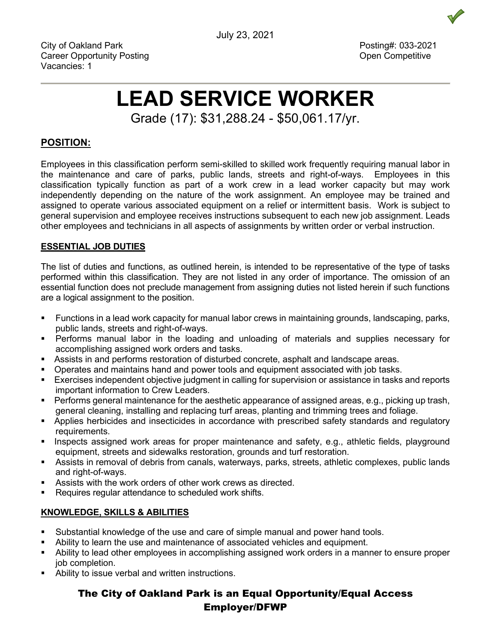City of Oakland Park Posting#: 033-2021 Career Opportunity Posting Career Open Competitive Vacancies: 1

# **LEAD SERVICE WORKER**

Grade (17): \$31,288.24 - \$50,061.17/yr.

# **POSITION:**

Employees in this classification perform semi-skilled to skilled work frequently requiring manual labor in the maintenance and care of parks, public lands, streets and right-of-ways. Employees in this classification typically function as part of a work crew in a lead worker capacity but may work independently depending on the nature of the work assignment. An employee may be trained and assigned to operate various associated equipment on a relief or intermittent basis. Work is subject to general supervision and employee receives instructions subsequent to each new job assignment. Leads other employees and technicians in all aspects of assignments by written order or verbal instruction.

### **ESSENTIAL JOB DUTIES**

The list of duties and functions, as outlined herein, is intended to be representative of the type of tasks performed within this classification. They are not listed in any order of importance. The omission of an essential function does not preclude management from assigning duties not listed herein if such functions are a logical assignment to the position.

- Functions in a lead work capacity for manual labor crews in maintaining grounds, landscaping, parks, public lands, streets and right-of-ways.
- Performs manual labor in the loading and unloading of materials and supplies necessary for accomplishing assigned work orders and tasks.
- Assists in and performs restoration of disturbed concrete, asphalt and landscape areas.
- Operates and maintains hand and power tools and equipment associated with job tasks.
- Exercises independent objective judgment in calling for supervision or assistance in tasks and reports important information to Crew Leaders.
- **Performs general maintenance for the aesthetic appearance of assigned areas, e.g., picking up trash,** general cleaning, installing and replacing turf areas, planting and trimming trees and foliage.
- Applies herbicides and insecticides in accordance with prescribed safety standards and regulatory requirements.
- **Inspects assigned work areas for proper maintenance and safety, e.g., athletic fields, playground** equipment, streets and sidewalks restoration, grounds and turf restoration.
- Assists in removal of debris from canals, waterways, parks, streets, athletic complexes, public lands and right-of-ways.
- Assists with the work orders of other work crews as directed.
- **Requires requiar attendance to scheduled work shifts.**

## **KNOWLEDGE, SKILLS & ABILITIES**

- Substantial knowledge of the use and care of simple manual and power hand tools.
- Ability to learn the use and maintenance of associated vehicles and equipment.
- Ability to lead other employees in accomplishing assigned work orders in a manner to ensure proper job completion.
- Ability to issue verbal and written instructions.

# The City of Oakland Park is an Equal Opportunity/Equal Access Employer/DFWP